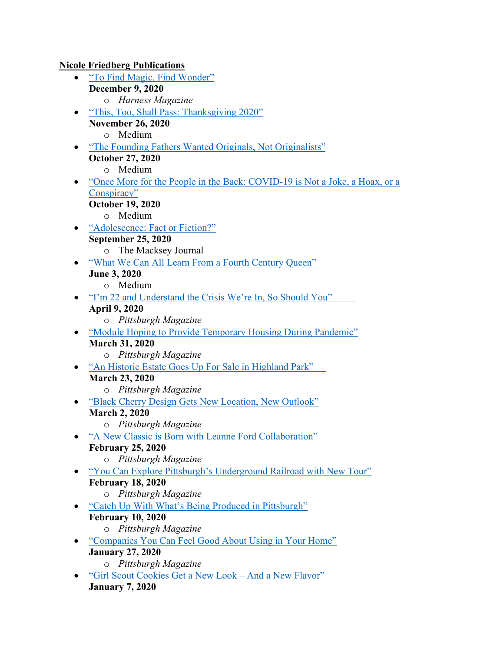**Nicole Friedberg Publications**

- "To Find Magic, Find Wonder"
- **December 9, 2020** o *Harness Magazine*
- "This, Too, Shall Pass: Thanksgiving 2020" **November 26, 2020**
	- o Medium
- "The Founding Fathers Wanted Originals, Not Originalists" **October 27, 2020**
	- o Medium
- "Once More for the People in the Back: COVID-19 is Not a Joke, a Hoax, or a Conspiracy"
	- **October 19, 2020**
		- o Medium
- "Adolescence: Fact or Fiction?" **September 25, 2020**
	- o The Macksey Journal
- "What We Can All Learn From a Fourth Century Queen"
	- **June 3, 2020**
		- o Medium
- "I'm 22 and Understand the Crisis We're In, So Should You" **April 9, 2020**
	- o *Pittsburgh Magazine*
- "Module Hoping to Provide Temporary Housing During Pandemic" **March 31, 2020**
	- o *Pittsburgh Magazine*
- "An Historic Estate Goes Up For Sale in Highland Park" **March 23, 2020**
	- o *Pittsburgh Magazine*
- "Black Cherry Design Gets New Location, New Outlook" **March 2, 2020**
	- o *Pittsburgh Magazine*
- "A New Classic is Born with Leanne Ford Collaboration" **February 25, 2020**
	- o *Pittsburgh Magazine*
- "You Can Explore Pittsburgh's Underground Railroad with New Tour" **February 18, 2020**
	- o *Pittsburgh Magazine*
- "Catch Up With What's Being Produced in Pittsburgh" **February 10, 2020**
	- o *Pittsburgh Magazine*
- "Companies You Can Feel Good About Using in Your Home"
	- **January 27, 2020**
		- o *Pittsburgh Magazine*
- "Girl Scout Cookies Get a New Look And a New Flavor" **January 7, 2020**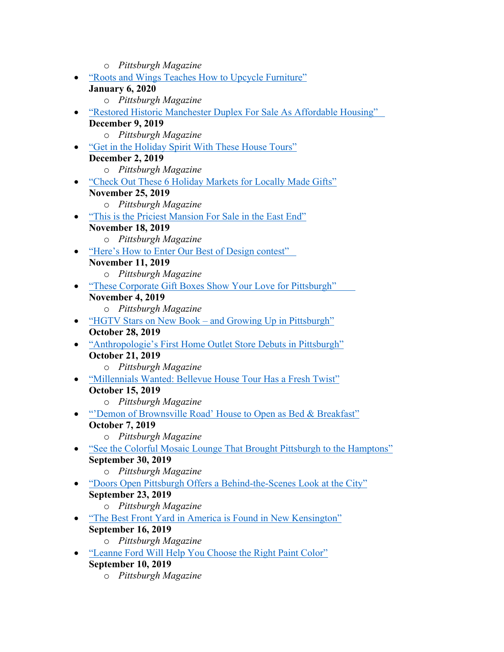- o *Pittsburgh Magazine*
- "Roots and Wings Teaches How to Upcycle Furniture"
	- **January 6, 2020**
		- o *Pittsburgh Magazine*
- "Restored Historic Manchester Duplex For Sale As Affordable Housing" **December 9, 2019**
	- o *Pittsburgh Magazine*
- "Get in the Holiday Spirit With These House Tours"
- **December 2, 2019** o *Pittsburgh Magazine*
- "Check Out These 6 Holiday Markets for Locally Made Gifts"
	- **November 25, 2019**
		- o *Pittsburgh Magazine*
- "This is the Priciest Mansion For Sale in the East End"

## **November 18, 2019**

- o *Pittsburgh Magazine*
- "Here's How to Enter Our Best of Design contest" **November 11, 2019**
	- o *Pittsburgh Magazine*
- "These Corporate Gift Boxes Show Your Love for Pittsburgh"

## **November 4, 2019**

- o *Pittsburgh Magazine*
- "HGTV Stars on New Book and Growing Up in Pittsburgh" **October 28, 2019**
- "Anthropologie's First Home Outlet Store Debuts in Pittsburgh" **October 21, 2019**
	- o *Pittsburgh Magazine*
- "Millennials Wanted: Bellevue House Tour Has a Fresh Twist"
	- **October 15, 2019**
		- o *Pittsburgh Magazine*
- "Demon of Brownsville Road' House to Open as Bed & Breakfast" **October 7, 2019**
	- o *Pittsburgh Magazine*
- "See the Colorful Mosaic Lounge That Brought Pittsburgh to the Hamptons" **September 30, 2019**
	- o *Pittsburgh Magazine*
- "Doors Open Pittsburgh Offers a Behind-the-Scenes Look at the City" **September 23, 2019**
	- o *Pittsburgh Magazine*
- "The Best Front Yard in America is Found in New Kensington" **September 16, 2019**
	- o *Pittsburgh Magazine*
- "Leanne Ford Will Help You Choose the Right Paint Color" **September 10, 2019**
	- o *Pittsburgh Magazine*